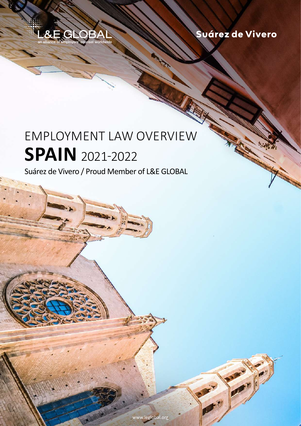

Suárez de Vivero

## employment law overview **spain** 2021-2022

Suárez de Vivero / Proud Member of L&E GLOBAL

[www.leglobal.org](http://www.leglobal.org) **counsel worldwide 2021-2022 / www.leglobal.org** 

employment law overview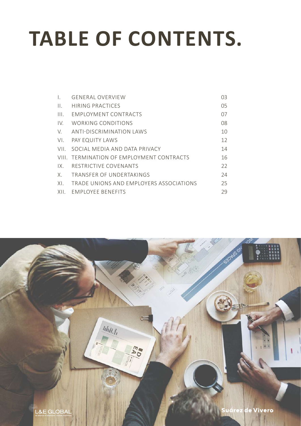# **TABLE OF CONTENTS.**

| L.                        | <b>GENERAL OVERVIEW</b>                   | 03 |
|---------------------------|-------------------------------------------|----|
| $\prod$ .                 | HIRING PRACTICES                          | 05 |
| $\mathbf{III}_{\text{L}}$ | <b>FMPIOYMENT CONTRACTS</b>               | 07 |
| IV.                       | WORKING CONDITIONS                        | 08 |
| V.                        | ANTI-DISCRIMINATION LAWS                  | 10 |
| VI.                       | PAY EQUITY LAWS                           | 12 |
| VII.                      | SOCIAL MEDIA AND DATA PRIVACY             | 14 |
|                           | VIII. TERMINATION OF EMPLOYMENT CONTRACTS | 16 |
| $IX_{-}$                  | RESTRICTIVE COVENANTS                     | 22 |
| Χ.                        | TRANSFFR OF UNDERTAKINGS                  | 74 |
| XL.                       | TRADE UNIONS AND EMPLOYERS ASSOCIATIONS   | 25 |
| XII.                      | <b>FMPLOYEE BENEFITS</b>                  | 29 |

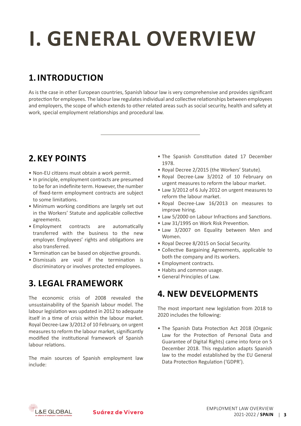# <span id="page-2-0"></span>**i. general overview**

## **1. Introduction**

As is the case in other European countries, Spanish labour law is very comprehensive and provides significant protection for employees. The labour law regulates individual and collective relationships between employees and employers, the scope of which extends to other related areas such as social security, health and safety at work, special employment relationships and procedural law.

## **2.Key Points**

- Non-EU citizens must obtain a work permit.
- In principle, employment contracts are presumed to be for an indefinite term. However, the number of fixed-term employment contracts are subject to some limitations.
- Minimum working conditions are largely set out in the Workers' Statute and applicable collective agreements.
- • Employment contracts are automatically transferred with the business to the new employer. Employees' rights and obligations are also transferred.
- Termination can be based on objective grounds.
- • Dismissals are void if the termination is discriminatory or involves protected employees.

### **3. Legal Framework**

The economic crisis of 2008 revealed the unsustainability of the Spanish labour model. The labour legislation was updated in 2012 to adequate itself in a time of crisis within the labour market. Royal Decree-Law 3/2012 of 10 February, on urgent measures to reform the labour market, significantly modified the institutional framework of Spanish labour relations.

The main sources of Spanish employment law include:

- The Spanish Constitution dated 17 December 1978.
- Royal Decree 2/2015 (the Workers' Statute).
- • Royal Decree-Law 3/2012 of 10 February on urgent measures to reform the labour market.
- Law 3/2012 of 6 July 2012 on urgent measures to reform the labour market.
- • Royal Decree-Law 16/2013 on measures to improve hiring.
- Law 5/2000 on Labour Infractions and Sanctions.
- • Law 31/1995 on Work Risk Prevention.
- Law 3/2007 on Equality between Men and Women.
- Royal Decree 8/2015 on Social Security.
- • Collective Bargaining Agreements, applicable to both the company and its workers.
- • Employment contracts.
- Habits and common usage.
- • General Principles of Law.

#### **4. New Developments**

The most important new legislation from 2018 to 2020 includes the following:

• The Spanish Data Protection Act 2018 (Organic Law for the Protection of Personal Data and Guarantee of Digital Rights) came into force on 5 December 2018. This regulation adapts Spanish law to the model established by the EU General Data Protection Regulation ('GDPR').

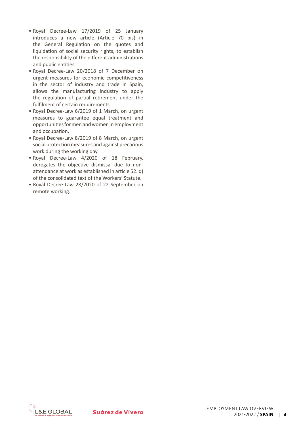- • Royal Decree-Law 17/2019 of 25 January introduces a new article (Article 70 bis) in the General Regulation on the quotes and liquidation of social security rights, to establish the responsibility of the different administrations and public entities.
- • Royal Decree-Law 20/2018 of 7 December on urgent measures for economic competitiveness in the sector of industry and trade in Spain, allows the manufacturing industry to apply the regulation of partial retirement under the fulfilment of certain requirements.
- Royal Decree-Law 6/2019 of 1 March, on urgent measures to guarantee equal treatment and opportunities for men and women in employment and occupation.
- Royal Decree-Law 8/2019 of 8 March, on urgent social protection measures and against precarious work during the working day.
- • Royal Decree-Law 4/2020 of 18 February, derogates the objective dismissal due to nonattendance at work as established in article 52. d) of the consolidated text of the Workers' Statute.
- • Royal Decree-Law 28/2020 of 22 September on remote working.

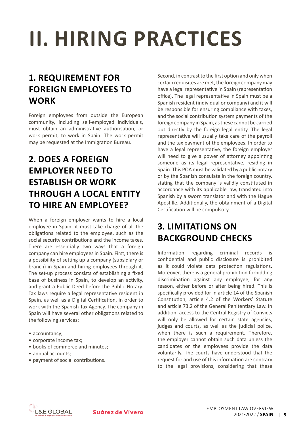# <span id="page-4-0"></span>**iI. HIRING PRACTICES**

### **1. Requirement for Foreign Employees to Work**

Foreign employees from outside the European community, including self-employed individuals, must obtain an administrative authorisation, or work permit, to work in Spain. The work permit may be requested at the Immigration Bureau.

### **2. Does a Foreign Employer need to Establish or Work through a Local Entity to Hire an Employee?**

When a foreign employer wants to hire a local employee in Spain, it must take charge of all the obligations related to the employee, such as the social security contributions and the income taxes. There are essentially two ways that a foreign company can hire employeesin Spain. First, there is a possibility of setting up a company (subsidiary or branch) in Spain and hiring employees through it. The set-up process consists of establishing a fixed base of business in Spain, to develop an activity, and grant a Public Deed before the Public Notary. Tax laws require a legal representative resident in Spain, as well as a Digital Certification, in order to work with the Spanish Tax Agency. The company in Spain will have several other obligations related to the following services:

- accountancy;
- corporate income tax;
- books of commerce and minutes:
- annual accounts:
- payment of social contributions.

Second, in contrast to the first option and only when certain requisites are met, the foreign company may have a legal representative in Spain (representation office). The legal representative in Spain must be a Spanish resident (individual or company) and it will be responsible for ensuring compliance with taxes, and the social contribution system payments of the foreign company in Spain, as these cannot be carried out directly by the foreign legal entity. The legal representative will usually take care of the payroll and the tax payment of the employees. In order to have a legal representative, the foreign employer will need to give a power of attorney appointing someone as its legal representative, residing in Spain. This POAmust be validated by a public notary or by the Spanish consulate in the foreign country, stating that the company is validly constituted in accordance with its applicable law, translated into Spanish by a sworn translator and with the Hague Apostille. Additionally, the obtainment of a Digital Certification will be compulsory.

## **3. Limitations on Background Checks**

Information regarding criminal records is confidential and public disclosure is prohibited as it could violate data protection regulations. Moreover, there is a general prohibition forbidding discrimination against any employee, for any reason, either before or after being hired. This is specifically provided for in article 14 of the Spanish Constitution, article 4.2 of the Workers' Statute and article 73.2 of the General Penitentiary Law. In addition, access to the Central Registry of Convicts will only be allowed for certain state agencies, judges and courts, as well as the judicial police, when there is such a requirement. Therefore, the employer cannot obtain such data unless the candidates or the employees provide the data voluntarily. The courts have understood that the request for and use of this information are contrary to the legal provisions, considering that these

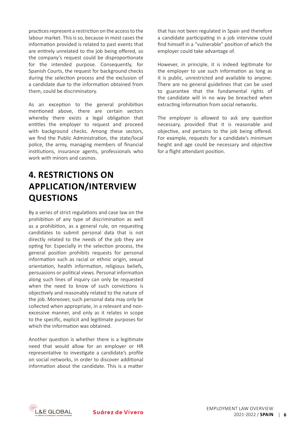practices represent a restriction on the access to the labour market. This is so, because in most cases the information provided is related to past events that are entirely unrelated to the job being offered, so the company's request could be disproportionate for the intended purpose. Consequently, for Spanish Courts, the request for background checks during the selection process and the exclusion of a candidate due to the information obtained from them, could be discriminatory.

As an exception to the general prohibition mentioned above, there are certain sectors whereby there exists a legal obligation that entitles the employer to request and proceed with background checks. Among these sectors, we find the Public Administration, the state/local police, the army, managing members of financial institutions, insurance agents, professionals who work with minors and casinos.

## **4. Restrictions on Application/Interview Questions**

By a series of strict regulations and case law on the prohibition of any type of discrimination as well as a prohibition, as a general rule, on requesting candidates to submit personal data that is not directly related to the needs of the job they are opting for. Especially in the selection process, the general position prohibits requests for personal information such as racial or ethnic origin, sexual orientation, health information, religious beliefs, persuasions or political views. Personal information along such lines of inquiry can only be requested when the need to know of such convictions is objectively and reasonably related to the nature of the job. Moreover, such personal data may only be collected when appropriate, in a relevant and nonexcessive manner, and only as it relates in scope to the specific, explicit and legitimate purposes for which the information was obtained.

Another question is whether there is a legitimate need that would allow for an employer or HR representative to investigate a candidate's profile on social networks, in order to discover additional information about the candidate. This is a matter that has not been regulated in Spain and therefore a candidate participating in a job interview could find himself in a "vulnerable" position of which the employer could take advantage of.

However, in principle, it is indeed legitimate for the employer to use such information as long as it is public, unrestricted and available to anyone. There are no general guidelines that can be used to guarantee that the fundamental rights of the candidate will in no way be breached when extracting information from social networks.

The employer is allowed to ask any question necessary, provided that it is reasonable and objective, and pertains to the job being offered. For example, requests for a candidate's minimum height and age could be necessary and objective for a flight attendant position.

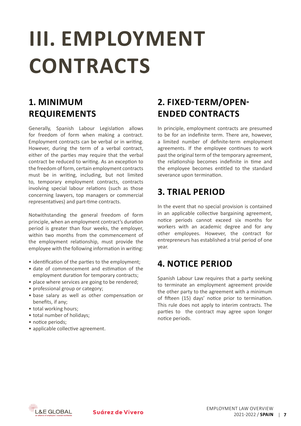## <span id="page-6-0"></span>**iII. EMPLOYMENT CONTRACTS**

## **1. Minimum Requirements**

Generally, Spanish Labour Legislation allows for freedom of form when making a contract. Employment contracts can be verbal or in writing. However, during the term of a verbal contract, either of the parties may require that the verbal contract be reduced to writing. As an exception to the freedom of form, certain employment contracts must be in writing, including, but not limited to, temporary employment contracts, contracts involving special labour relations (such as those concerning lawyers, top managers or commercial representatives) and part-time contracts.

Notwithstanding the general freedom of form principle, when an employment contract's duration period is greater than four weeks, the employer, within two months from the commencement of the employment relationship, must provide the employee with the following information in writing:

- identification of the parties to the employment;
- date of commencement and estimation of the employment duration for temporary contracts;
- place where services are going to be rendered;
- professional group or category;
- • base salary as well as other compensation or benefits, if any;
- total working hours:
- total number of holidays;
- notice periods;
- applicable collective agreement.

## **2. Fixed-term/Openended Contracts**

In principle, employment contracts are presumed to be for an indefinite term. There are, however, a limited number of definite-term employment agreements. If the employee continues to work past the original term of the temporary agreement, the relationship becomes indefinite in time and the employee becomes entitled to the standard severance upon termination.

#### **3. Trial Period**

In the event that no special provision is contained in an applicable collective bargaining agreement, notice periods cannot exceed six months for workers with an academic degree and for any other employees. However, the contract for entrepreneurs has established a trial period of one year.

#### **4. Notice Period**

Spanish Labour Law requires that a party seeking to terminate an employment agreement provide the other party to the agreement with a minimum of fifteen (15) days' notice prior to termination. This rule does not apply to interim contracts. The parties to the contract may agree upon longer notice periods.

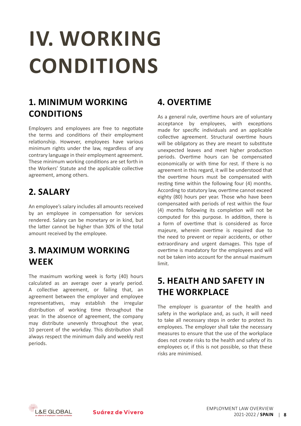# <span id="page-7-0"></span>**IV. WORKING CONDITIONS**

## **1. Minimum Working Conditions**

Employers and employees are free to negotiate the terms and conditions of their employment relationship. However, employees have various minimum rights under the law, regardless of any contrary language in their employment agreement. These minimum working conditions are set forth in the Workers' Statute and the applicable collective agreement, among others.

#### **2. Salary**

An employee's salary includes all amounts received by an employee in compensation for services rendered. Salary can be monetary or in kind, but the latter cannot be higher than 30% of the total amount received by the employee.

#### **3. Maximum Working Week**

The maximum working week is forty (40) hours calculated as an average over a yearly period. A collective agreement, or failing that, an agreement between the employer and employee representatives, may establish the irregular distribution of working time throughout the year. In the absence of agreement, the company may distribute unevenly throughout the year, 10 percent of the workday. This distribution shall always respect the minimum daily and weekly rest periods.

#### **4. Overtime**

As a general rule, overtime hours are of voluntary acceptance by employees, with exceptions made for specific individuals and an applicable collective agreement. Structural overtime hours will be obligatory as they are meant to substitute unexpected leaves and meet higher production periods. Overtime hours can be compensated economically or with time for rest. If there is no agreement in this regard, it will be understood that the overtime hours must be compensated with resting time within the following four (4) months. According to statutory law, overtime cannot exceed eighty (80) hours per year. Those who have been compensated with periods of rest within the four (4) months following its completion will not be computed for this purpose. In addition, there is a form of overtime that is considered as force majeure, wherein overtime is required due to the need to prevent or repair accidents, or other extraordinary and urgent damages. This type of overtime is mandatory for the employees and will not be taken into account for the annual maximum limit.

#### **5. Health and Safety in the Workplace**

The employer is guarantor of the health and safety in the workplace and, as such, it will need to take all necessary steps in order to protect its employees. The employer shall take the necessary measures to ensure that the use of the workplace does not create risks to the health and safety of its employees or, if this is not possible, so that these risks are minimised.

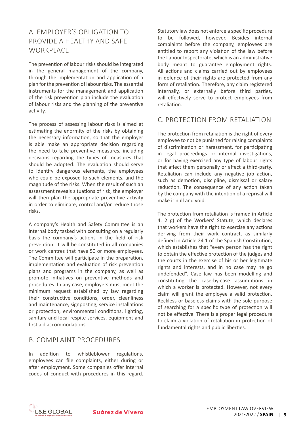#### a. Employer's Obligation to Provide a Healthy and Safe **WORKPLACE**

The prevention of labour risks should be integrated in the general management of the company, through the implementation and application of a plan for the prevention of labour risks. The essential instruments for the management and application of the risk prevention plan include the evaluation of labour risks and the planning of the preventive activity.

The process of assessing labour risks is aimed at estimating the enormity of the risks by obtaining the necessary information, so that the employer is able make an appropriate decision regarding the need to take preventive measures, including decisions regarding the types of measures that should be adopted. The evaluation should serve to identify dangerous elements, the employees who could be exposed to such elements, and the magnitude of the risks. When the result of such an assessment reveals situations of risk, the employer will then plan the appropriate preventive activity in order to eliminate, control and/or reduce those risks.

A company's Health and Safety Committee is an internal body tasked with consulting on a regularly basis the company's actions in the field of risk prevention. It will be constituted in all companies or work centres that have 50 or more employees. The Committee will participate in the preparation, implementation and evaluation of risk prevention plans and programs in the company, as well as promote initiatives on preventive methods and procedures. In any case, employers must meet the minimum request established by law regarding their constructive conditions, order, cleanliness and maintenance, signposting, service installations or protection, environmental conditions, lighting, sanitary and local respite services, equipment and first aid accommodations.

#### b. Complaint Procedures

In addition to whistleblower regulations, employees can file complaints, either during or after employment. Some companies offer internal codes of conduct with procedures in this regard. Statutory law does not enforce a specific procedure to be followed, however. Besides internal complaints before the company, employees are entitled to report any violation of the law before the Labour Inspectorate, which is an administrative body meant to guarantee employment rights. All actions and claims carried out by employees in defence of their rights are protected from any form of retaliation. Therefore, any claim registered internally, or externally before third parties, will effectively serve to protect employees from retaliation.

#### c. Protection from Retaliation

The protection from retaliation is the right of every employee to not be punished for raising complaints of discrimination or harassment, for participating in legal proceedings or internal investigations, or for having exercised any type of labour rights that affect them personally or affect a third-party. Retaliation can include any negative job action, such as demotion, discipline, dismissal or salary reduction. The consequence of any action taken by the company with the intention of a reprisal will make it null and void.

The protection from retaliation is framed in Article 4. 2 g) of the Workers' Statute, which declares that workers have the right to exercise any actions deriving from their work contract, as similarly defined in Article 24.1 of the Spanish Constitution, which establishes that "every person has the right to obtain the effective protection of the judges and the courts in the exercise of his or her legitimate rights and interests, and in no case may he go undefended". Case law has been modelling and constituting the case-by-case assumptions in which a worker is protected. However, not every claim will grant the employee a valid protection. Reckless or baseless claims with the sole purpose of searching for a specific type of protection will not be effective. There is a proper legal procedure to claim a violation of retaliation in protection of fundamental rights and public liberties.

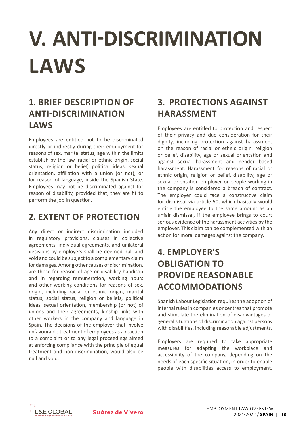## <span id="page-9-0"></span>**V. ANTI-DISCRIMINATION LAWS**

## **1. Brief Description of Anti-Discrimination Laws**

Employees are entitled not to be discriminated directly or indirectly during their employment for reasons of sex, marital status, age within the limits establish by the law, racial or ethnic origin, social status, religion or belief, political ideas, sexual orientation, affiliation with a union (or not), or for reason of language, inside the Spanish State. Employees may not be discriminated against for reason of disability, provided that, they are fit to perform the job in question.

#### **2. Extent of Protection**

Any direct or indirect discrimination included in regulatory provisions, clauses in collective agreements, individual agreements, and unilateral decisions by employers shall be deemed null and void and could be subject to a complementary claim for damages. Among other causes of discrimination, are those for reason of age or disability handicap and in regarding remuneration, working hours and other working conditions for reasons of sex, origin, including racial or ethnic origin, marital status, social status, religion or beliefs, political ideas, sexual orientation, membership (or not) of unions and their agreements, kinship links with other workers in the company and language in Spain. The decisions of the employer that involve unfavourable treatment of employees as a reaction to a complaint or to any legal proceedings aimed at enforcing compliance with the principle of equal treatment and non-discrimination, would also be null and void.

## **3. Protections Against Harassment**

Employees are entitled to protection and respect of their privacy and due consideration for their dignity, including protection against harassment on the reason of racial or ethnic origin, religion or belief, disability, age or sexual orientation and against sexual harassment and gender based harassment. Harassment for reasons of racial or ethnic origin, religion or belief, disability, age or sexual orientation employer or people working in the company is considered a breach of contract. The employer could face a constructive claim for dismissal via article 50, which basically would entitle the employee to the same amount as an unfair dismissal, if the employee brings to court serious evidence of the harassment activities by the employer. This claim can be complemented with an action for moral damages against the company.

## **4. Employer's Obligation to Provide Reasonable Accommodations**

Spanish Labour Legislation requires the adoption of internal rules in companies or centres that promote and stimulate the elimination of disadvantages or general situations of discrimination against persons with disabilities, including reasonable adjustments.

Employers are required to take appropriate measures for adapting the workplace and accessibility of the company, depending on the needs of each specific situation, in order to enable people with disabilities access to employment,

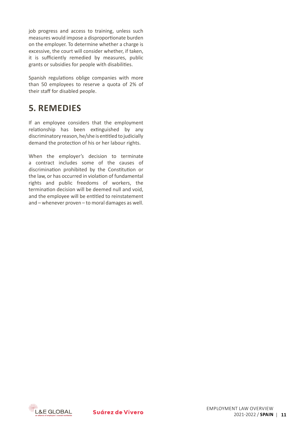job progress and access to training, unless such measures would impose a disproportionate burden on the employer. To determine whether a charge is excessive, the court will consider whether, if taken, it is sufficiently remedied by measures, public grants or subsidies for people with disabilities.

Spanish regulations oblige companies with more than 50 employees to reserve a quota of 2% of their staff for disabled people.

#### **5. Remedies**

If an employee considers that the employment relationship has been extinguished by any discriminatory reason, he/she is entitled to judicially demand the protection of his or her labour rights.

When the employer's decision to terminate a contract includes some of the causes of discrimination prohibited by the Constitution or the law, or has occurred in violation of fundamental rights and public freedoms of workers, the termination decision will be deemed null and void, and the employee will be entitled to reinstatement and – whenever proven – to moral damages as well.

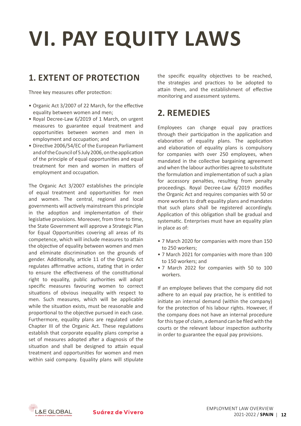# <span id="page-11-0"></span>**VI. PAY EQUITY LAWS**

#### **1. Extent of Protection**

Three key measures offer protection:

- • Organic Act 3/2007 of 22 March, for the effective equality between women and men;
- Royal Decree-Law 6/2019 of 1 March, on urgent measures to guarantee equal treatment and opportunities between women and men in employment and occupation; and
- Directive 2006/54/EC of the European Parliament andoftheCouncilof5July2006,ontheapplication of the principle of equal opportunities and equal treatment for men and women in matters of employment and occupation.

The Organic Act 3/2007 establishes the principle of equal treatment and opportunities for men and women. The central, regional and local governments will actively mainstream this principle in the adoption and implementation of their legislative provisions. Moreover, from time to time, the State Government will approve a Strategic Plan for Equal Opportunities covering all areas of its competence, which will include measures to attain the objective of equality between women and men and eliminate discrimination on the grounds of gender. Additionally, article 11 of the Organic Act regulates affirmative actions, stating that in order to ensure the effectiveness of the constitutional right to equality, public authorities will adopt specific measures favouring women to correct situations of obvious inequality with respect to men. Such measures, which will be applicable while the situation exists, must be reasonable and proportional to the objective pursued in each case. Furthermore, equality plans are regulated under Chapter III of the Organic Act. These regulations establish that corporate equality plans comprise a set of measures adopted after a diagnosis of the situation and shall be designed to attain equal treatment and opportunities for women and men within said company. Equality plans will stipulate

the specific equality objectives to be reached, the strategies and practices to be adopted to attain them, and the establishment of effective monitoring and assessment systems.

#### **2. Remedies**

Employees can change equal pay practices through their participation in the application and elaboration of equality plans. The application and elaboration of equality plans is compulsory for companies with over 250 employees, when mandated in the collective bargaining agreement and when the labour authorities agree to substitute the formulation and implementation of such a plan for accessory penalties, resulting from penalty proceedings. Royal Decree-Law 6/2019 modifies the Organic Act and requires companies with 50 or more workers to draft equality plans and mandates that such plans shall be registered accordingly. Application of this obligation shall be gradual and systematic. Enterprises must have an equality plan in place as of:

- • 7 March 2020 for companies with more than 150 to 250 workers;
- 7 March 2021 for companies with more than 100 to 150 workers; and
- 7 March 2022 for companies with 50 to 100 workers.

If an employee believes that the company did not adhere to an equal pay practice, he is entitled to initiate an internal demand (within the company) for the protection of his labour rights. However, if the company does not have an internal procedure forthistype of claim, a demand can be filed with the courts or the relevant labour inspection authority in order to guarantee the equal pay provisions.

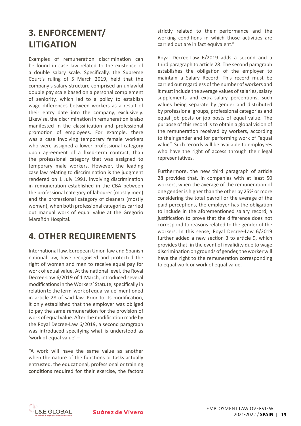### **3. Enforcement/ Litigation**

Examples of remuneration discrimination can be found in case law related to the existence of a double salary scale. Specifically, the Supreme Court's ruling of 5 March 2019, held that the company's salary structure comprised an unlawful double pay scale based on a personal complement of seniority, which led to a policy to establish wage differences between workers as a result of their entry date into the company, exclusively. Likewise, the discrimination in remuneration is also manifested in the classification and professional promotion of employees. For example, there was a case involving temporary female workers who were assigned a lower professional category upon agreement of a fixed-term contract, than the professional category that was assigned to temporary male workers. However, the leading case law relating to discrimination is the judgment rendered on 1 July 1991, involving discrimination in remuneration established in the CBA between the professional category of labourer (mostly men) and the professional category of cleaners (mostly women), when both professional categories carried out manual work of equal value at the Gregorio Marañón Hospital.

#### **4. Other Requirements**

International law, European Union law and Spanish national law, have recognised and protected the right of women and men to receive equal pay for work of equal value. At the national level, the Royal Decree-Law 6/2019 of 1 March, introduced several modifications in the Workers' Statute, specifically in relation to the term'work of equal value'mentioned in article 28 of said law. Prior to its modification, it only established that the employer was obliged to pay the same remuneration for the provision of work of equal value. After the modification made by the Royal Decree-Law 6/2019, a second paragraph was introduced specifying what is understood as 'work of equal value' –

"A work will have the same value as another when the nature of the functions or tasks actually entrusted, the educational, professional or training conditions required for their exercise, the factors strictly related to their performance and the working conditions in which those activities are carried out are in fact equivalent."

Royal Decree-Law 6/2019 adds a second and a third paragraph to article 28. The second paragraph establishes the obligation of the employer to maintain a Salary Record. This record must be carried out regardless of the number of workers and it must include the average values of salaries, salary supplements and extra-salary perceptions, such values being separate by gender and distributed by professional groups, professional categories and equal job posts or job posts of equal value. The purpose of this record is to obtain a global vision of the remuneration received by workers, according to their gender and for performing work of "equal value". Such records will be available to employees who have the right of access through their legal representatives.

Furthermore, the new third paragraph of article 28 provides that, in companies with at least 50 workers, when the average of the remuneration of one gender is higher than the other by 25% or more considering the total payroll or the average of the paid perceptions, the employer has the obligation to include in the aforementioned salary record, a justification to prove that the difference does not correspond to reasons related to the gender of the workers. In this sense, Royal Decree-Law 6/2019 further added a new section 3 to article 9, which provides that, in the event of invalidity due to wage discrimination on grounds of gender, the worker will have the right to the remuneration corresponding to equal work or work of equal value.

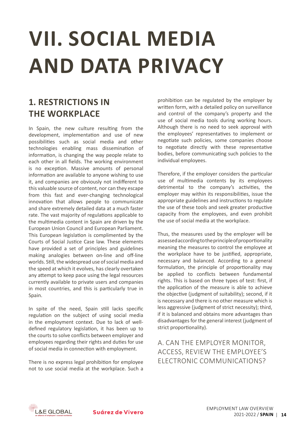## <span id="page-13-0"></span>**VII. SOCIAL MEDIA AND DATA PRIVACY**

### **1. Restrictions in the Workplace**

In Spain, the new culture resulting from the development, implementation and use of new possibilities such as social media and other technologies enabling mass dissemination of information, is changing the way people relate to each other in all fields. The working environment is no exception. Massive amounts of personal information are available to anyone wishing to use it, and companies are obviously not indifferent to this valuable source of content, nor can they escape from this fast and ever-changing technological innovation that allows people to communicate and share extremely detailed data at a much faster rate. The vast majority of regulations applicable to the multimedia content in Spain are driven by the European Union Council and European Parliament. This European legislation is complimented by the Courts of Social Justice Case law. These elements have provided a set of principles and guidelines making analogies between on-line and off-line worlds. Still, the widespread use of social media and the speed at which it evolves, has clearly overtaken any attempt to keep pace using the legal resources currently available to private users and companies in most countries, and this is particularly true in Spain.

In spite of the need, Spain still lacks specific regulation on the subject of using social media in the employment context. Due to lack of welldefined regulatory legislation, it has been up to the courts to solve conflicts between employer and employees regarding their rights and duties for use of social media in connection with employment.

There is no express legal prohibition for employee not to use social media at the workplace. Such a prohibition can be regulated by the employer by written form, with a detailed policy on surveillance and control of the company's property and the use of social media tools during working hours. Although there is no need to seek approval with the employees' representatives to implement or negotiate such policies, some companies choose to negotiate directly with these representative bodies, before communicating such policies to the individual employees.

Therefore, if the employer considers the particular use of multimedia contents by its employees detrimental to the company's activities, the employer may within its responsibilities, issue the appropriate guidelines and instructions to regulate the use of these tools and seek greater productive capacity from the employees, and even prohibit the use of social media at the workplace.

Thus, the measures used by the employer will be assessedaccordingtotheprincipleofproportionality meaning the measures to control the employee at the workplace have to be justified, appropriate, necessary and balanced. According to a general formulation, the principle of proportionality may be applied to conflicts between fundamental rights. This is based on three types of test: first, if the application of the measure is able to achieve the objective (judgment of suitability); second, if it is necessary and there is no other measure which is less aggressive (judgment of strict necessity); third, if it is balanced and obtains more advantages than disadvantages for the general interest (judgment of strict proportionality).

a. Can the employer monitor, access, review the employee's electronic communications?

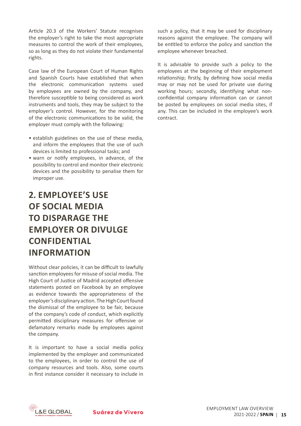Article 20.3 of the Workers' Statute recognises the employer's right to take the most appropriate measures to control the work of their employees, so as long as they do not violate their fundamental rights.

Case law of the European Court of Human Rights and Spanish Courts have established that when the electronic communication systems used by employees are owned by the company, and therefore susceptible to being considered as work instruments and tools, they may be subject to the employer's control. However, for the monitoring of the electronic communications to be valid, the employer must comply with the following:

- establish guidelines on the use of these media, and inform the employees that the use of such devices is limited to professional tasks; and
- warn or notify employees, in advance, of the possibility to control and monitor their electronic devices and the possibility to penalise them for improper use.

### **2. Employee's Use of Social Media to Disparage the Employer or Divulge Confidential Information**

Without clear policies, it can be difficult to lawfully sanction employees for misuse of social media. The High Court of Justice of Madrid accepted offensive statements posted on Facebook by an employee as evidence towards the appropriateness of the employer's disciplinary action. The High Court found the dismissal of the employee to be fair, because of the company's code of conduct, which explicitly permitted disciplinary measures for offensive or defamatory remarks made by employees against the company.

It is important to have a social media policy implemented by the employer and communicated to the employees, in order to control the use of company resources and tools. Also, some courts in first instance consider it necessary to include in such a policy, that it may be used for disciplinary reasons against the employee. The company will be entitled to enforce the policy and sanction the employee whenever breached.

It is advisable to provide such a policy to the employees at the beginning of their employment relationship; firstly, by defining how social media may or may not be used for private use during working hours; secondly, identifying what nonconfidential company information can or cannot be posted by employees on social media sites, if any. This can be included in the employee's work contract.

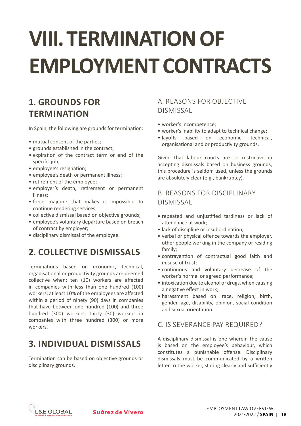# <span id="page-15-0"></span>**VIII. TERMINATION OF EMPLOYMENTCONTRACTS**

## **1. Grounds for Termination**

In Spain, the following are grounds for termination:

- mutual consent of the parties;
- grounds established in the contract;
- expiration of the contract term or end of the specific job;
- employee's resignation;
- employee's death or permanent illness:
- retirement of the employee:
- employer's death, retirement or permanent illness;
- • force majeure that makes it impossible to continue rendering services;
- collective dismissal based on objective grounds;
- employee's voluntary departure based on breach of contract by employer;
- disciplinary dismissal of the employee.

### **2. Collective Dismissals**

Terminations based on economic, technical, organisational or productivity grounds are deemed collective when: ten (10) workers are affected in companies with less than one hundred (100) workers; at least 10% of the employees are affected within a period of ninety (90) days in companies that have between one hundred (100) and three hundred (300) workers; thirty (30) workers in companies with three hundred (300) or more workers.

### **3. Individual Dismissals**

Termination can be based on objective grounds or disciplinary grounds.

#### a. Reasons for objective dismissal

- worker's incompetence;
- worker's inability to adapt to technical change;
- • layoffs based on economic, technical, organisational and or productivity grounds.

Given that labour courts are so restrictive in accepting dismissals based on business grounds, this procedure is seldom used, unless the grounds are absolutely clear (e.g., bankruptcy).

#### b. Reasons for disciplinary dismissal

- • repeated and unjustified tardiness or lack of attendance at work;
- lack of discipline or insubordination;
- verbal or physical offence towards the employer, other people working in the company or residing family;
- • contravention of contractual good faith and misuse of trust;
- • continuous and voluntary decrease of the worker's normal or agreed performance;
- intoxication due to alcohol or drugs, when causing a negative effect in work;
- harassment based on: race, religion, birth, gender, age, disability, opinion, social condition and sexual orientation.

#### c. Is severance pay required?

A disciplinary dismissal is one wherein the cause is based on the employee's behaviour, which constitutes a punishable offense. Disciplinary dismissals must be communicated by a written letter to the worker, stating clearly and sufficiently

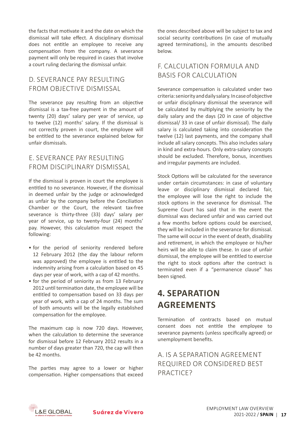the facts that motivate it and the date on which the dismissal will take effect. A disciplinary dismissal does not entitle an employee to receive any compensation from the company. A severance payment will only be required in cases that involve a court ruling declaring the dismissal unfair.

#### d. Severance pay resulting from objective dismissal

The severance pay resulting from an objective dismissal is a tax-free payment in the amount of twenty (20) days' salary per year of service, up to twelve (12) months' salary. If the dismissal is not correctly proven in court, the employee will be entitled to the severance explained below for unfair dismissals.

#### e. Severance pay resulting from disciplinary dismissal

If the dismissal is proven in court the employee is entitled to no severance. However, if the dismissal in deemed unfair by the judge or acknowledged as unfair by the company before the Conciliation Chamber or the Court, the relevant tax-free severance is thirty-three (33) days' salary per year of service, up to twenty-four (24) months' pay. However, this calculation must respect the following:

- for the period of seniority rendered before 12 February 2012 (the day the labour reform was approved) the employee is entitled to the indemnity arising from a calculation based on 45 days per year of work, with a cap of 42 months.
- for the period of seniority as from 13 February 2012 until termination date, the employee will be entitled to compensation based on 33 days per year of work, with a cap of 24 months. The sum of both amounts will be the legally established compensation for the employee.

The maximum cap is now 720 days. However, when the calculation to determine the severance for dismissal before 12 February 2012 results in a number of days greater than 720, the cap will then be 42 months.

The parties may agree to a lower or higher compensation. Higher compensations that exceed the ones described above will be subject to tax and social security contributions (in case of mutually agreed terminations), in the amounts described below.

#### f. Calculation formula and basis for calculation

Severance compensation is calculated under two criteria:seniorityanddailysalary.Incaseofobjective or unfair disciplinary dismissal the severance will be calculated by multiplying the seniority by the daily salary and the days (20 in case of objective dismissal/ 33 in case of unfair dismissal). The daily salary is calculated taking into consideration the twelve (12) last payments, and the company shall include all salary concepts. This also includes salary in kind and extra-hours. Only extra-salary concepts should be excluded. Therefore, bonus, incentives and irregular payments are included.

Stock Options will be calculated for the severance under certain circumstances: in case of voluntary leave or disciplinary dismissal declared fair, the employee will lose the right to include the stock options in the severance for dismissal. The Supreme Court has said that in the event the dismissal was declared unfair and was carried out a few months before options could be exercised, they will be included in the severance for dismissal. The same will occur in the event of death, disability and retirement, in which the employee or his/her heirs will be able to claim these. In case of unfair dismissal, the employee will be entitled to exercise the right to stock options after the contract is terminated even if a "permanence clause" has been signed.

### **4. Separation Agreements**

Termination of contracts based on mutual consent does not entitle the employee to severance payments (unless specifically agreed) or unemployment benefits.

a. Is a Separation Agreement required or considered best practice?

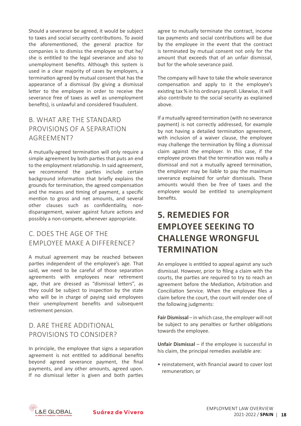Should a severance be agreed, it would be subject to taxes and social security contributions. To avoid the aforementioned, the general practice for companies is to dismiss the employee so that he/ she is entitled to the legal severance and also to unemployment benefits. Although this system is used in a clear majority of cases by employers, a termination agreed by mutual consent that has the appearance of a dismissal (by giving a dismissal letter to the employee in order to receive the severance free of taxes as well as unemployment benefits), is unlawful and considered fraudulent.

#### b. What are the standard provisions of a Separation AGRFFMFNT?

A mutually-agreed termination will only require a simple agreement by both parties that puts an end to the employment relationship. In said agreement, we recommend the parties include certain background information that briefly explains the grounds for termination, the agreed compensation and the means and timing of payment, a specific mention to gross and net amounts, and several other clauses such as confidentiality, nondisparagement, waiver against future actions and possibly a non-compete, whenever appropriate.

#### c. Does the age of the employee make a difference?

A mutual agreement may be reached between parties independent of the employee's age. That said, we need to be careful of those separation agreements with employees near retirement age, that are dressed as "dismissal letters", as they could be subject to inspection by the state who will be in charge of paying said employees their unemployment benefits and subsequent retirement pension.

#### d. Are there additional provisions to consider?

In principle, the employee that signs a separation agreement is not entitled to additional benefits beyond agreed severance payment, the final payments, and any other amounts, agreed upon. If no dismissal letter is given and both parties agree to mutually terminate the contract, income tax payments and social contributions will be due by the employee in the event that the contract is terminated by mutual consent not only for the amount that exceeds that of an unfair dismissal, but for the whole severance paid.

The company will have to take the whole severance compensation and apply to it the employee's existing tax % in his ordinary payroll. Likewise, it will also contribute to the social security as explained above.

If a mutually agreed termination (with no severance payment) is not correctly addressed, for example by not having a detailed termination agreement, with inclusion of a waiver clause, the employee may challenge the termination by filing a dismissal claim against the employer. In this case, if the employee proves that the termination was really a dismissal and not a mutually agreed termination, the employer may be liable to pay the maximum severance explained for unfair dismissals. These amounts would then be free of taxes and the employee would be entitled to unemployment benefits.

### **5. Remedies for Employee Seeking to Challenge Wrongful Termination**

An employee is entitled to appeal against any such dismissal. However, prior to filing a claim with the courts, the parties are required to try to reach an agreement before the Mediation, Arbitration and Conciliation Service. When the employee files a claim before the court, the court will render one of the following judgments:

Fair Dismissal – in which case, the employer will not be subject to any penalties or further obligations towards the employee.

**Unfair Dismissal** – if the employee is successful in his claim, the principal remedies available are:

• reinstatement, with financial award to cover lost remuneration; or

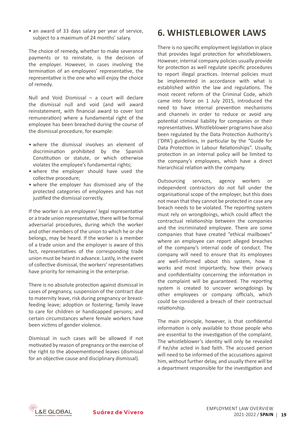• an award of 33 days salary per year of service, subject to a maximum of 24 months' salary.

The choice of remedy, whether to make severance payments or to reinstate, is the decision of the employer. However, in cases involving the termination of an employees' representative, the representative is the one who will enjoy the choice of remedy.

Null and Void Dismissal – a court will declare the dismissal null and void (and will award reinstatement, with financial award to cover lost remuneration) where a fundamental right of the employee has been breached during the course of the dismissal procedure, for example:

- where the dismissal involves an element of discrimination prohibited by the Spanish Constitution or statute, or which otherwise violates the employee's fundamental rights;
- where the employer should have used the collective procedure;
- where the employer has dismissed any of the protected categories of employees and has not justified the dismissal correctly.

If the worker is an employees' legal representative or a trade union representative, there will be formal adversarial procedures, during which the worker and other members of the union to which he orshe belongs, may be heard. If the worker is a member of a trade union and the employer is aware of this fact, representatives of the corresponding trade union must be heard in advance. Lastly, in the event of collective dismissal, the workers' representatives have priority for remaining in the enterprise.

There is no absolute protection against dismissal in cases of pregnancy, suspension of the contract due to maternity leave, risk during pregnancy or breastfeeding leave; adoption or fostering; family leave to care for children or handicapped persons; and certain circumstances where female workers have been victims of gender violence.

Dismissal in such cases will be allowed if not motivated by reason of pregnancy or the exercise of the right to the abovementioned leaves (dismissal for an objective cause and disciplinary dismissal).

#### **6. Whistleblower Laws**

There is no specific employment legislation in place that provides legal protection for whistleblowers. However, internal company policies usually provide for protection as well regulate specific procedures to report illegal practices. Internal policies must be implemented in accordance with what is established within the law and regulations. The most recent reform of the Criminal Code, which came into force on 1 July 2015, introduced the need to have internal prevention mechanisms and channels in order to reduce or avoid any potential criminal liability for companies or their representatives. Whistleblower programs have also been regulated by the Data Protection Authority's ('DPA') guidelines, in particular by the "Guide for Data Protection in Labour Relationships". Usually, protection in an internal policy will be limited to the company's employees, which have a direct hierarchical relation with the company.

Outsourcing services, agency workers or independent contractors do not fall under the organisational scope of the employer, but this does not mean that they cannot be protected in case any breach needs to be violated. The reporting system must rely on wrongdoings, which could affect the contractual relationship between the companies and the incriminated employee. There are some companies that have created "ethical mailboxes" where an employee can report alleged breaches of the company's internal code of conduct. The company will need to ensure that its employees are well-informed about this system, how it works and most importantly, how their privacy and confidentiality concerning the information in the complaint will be guaranteed. The reporting system is created to uncover wrongdoings by other employees or company officials, which could be considered a breach of their contractual relationship.

The main principle, however, is that confidential information is only available to those people who are essential to the investigation of the complaint. The whistleblower's identity will only be revealed if he/she acted in bad faith. The accused person will need to be informed of the accusations against him, without further delay, and usually there will be a department responsible for the investigation and

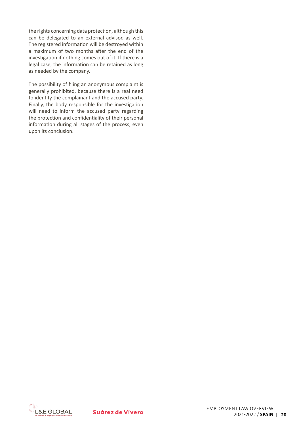the rights concerning data protection, although this can be delegated to an external advisor, as well. The registered information will be destroyed within a maximum of two months after the end of the investigation if nothing comes out of it. If there is a legal case, the information can be retained as long as needed by the company.

The possibility of filing an anonymous complaint is generally prohibited, because there is a real need to identify the complainant and the accused party. Finally, the body responsible for the investigation will need to inform the accused party regarding the protection and confidentiality of their personal information during all stages of the process, even upon its conclusion.

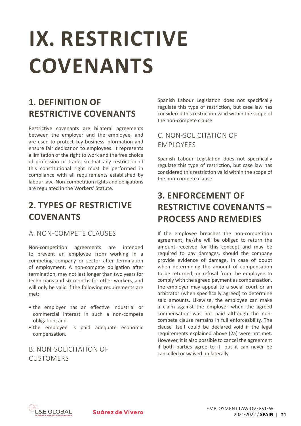# <span id="page-20-0"></span>**IX. RESTRICTIVE COVENANTS**

## **1. Definition of Restrictive Covenants**

Restrictive covenants are bilateral agreements between the employer and the employee, and are used to protect key business information and ensure fair dedication to employees. It represents a limitation of the right to work and the free choice of profession or trade, so that any restriction of this constitutional right must be performed in compliance with all requirements established by labour law. Non-competition rights and obligations are regulated in the Workers' Statute.

#### **2. Types of Restrictive Covenants**

#### a. Non-Compete Clauses

Non-competition agreements are intended to prevent an employee from working in a competing company or sector after termination of employment. A non-compete obligation after termination, may not last longer than two years for technicians and six months for other workers, and will only be valid if the following requirements are met:

- the employer has an effective industrial or commercial interest in such a non-compete obligation; and
- the employee is paid adequate economic compensation.

#### b. Non-solicitation of **CUSTOMERS**

Spanish Labour Legislation does not specifically regulate this type of restriction, but case law has considered this restriction valid within the scope of the non-compete clause.

#### c. Non-solicitation of employees

Spanish Labour Legislation does not specifically regulate this type of restriction, but case law has considered this restriction valid within the scope of the non-compete clause.

### **3. Enforcement of Restrictive Covenants – Process and Remedies**

If the employee breaches the non-competition agreement, he/she will be obliged to return the amount received for this concept and may be required to pay damages, should the company provide evidence of damage. In case of doubt when determining the amount of compensation to be returned, or refusal from the employee to comply with the agreed payment as compensation, the employer may appeal to a social court or an arbitrator (when specifically agreed) to determine said amounts. Likewise, the employee can make a claim against the employer when the agreed compensation was not paid although the noncompete clause remains in full enforceability. The clause itself could be declared void if the legal requirements explained above (2a) were not met. However, it is also possible to cancel the agreement if both parties agree to it, but it can never be cancelled or waived unilaterally.

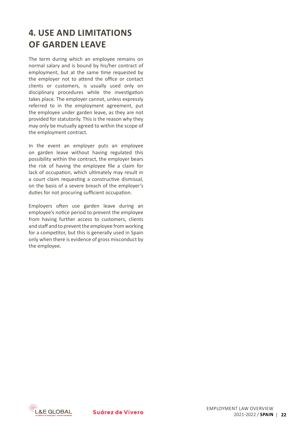### **4. Use and Limitations of Garden Leave**

The term during which an employee remains on normal salary and is bound by his/her contract of employment, but at the same time requested by the employer not to attend the office or contact clients or customers, is usually used only on disciplinary procedures while the investigation takes place. The employer cannot, unless expressly referred to in the employment agreement, put the employee under garden leave, as they are not provided for statutorily. This is the reason why they may only be mutually agreed to within the scope of the employment contract.

In the event an employer puts an employee on garden leave without having regulated this possibility within the contract, the employer bears the risk of having the employee file a claim for lack of occupation, which ultimately may result in a court claim requesting a constructive dismissal, on the basis of a severe breach of the employer's duties for not procuring sufficient occupation.

Employers often use garden leave during an employee's notice period to prevent the employee from having further access to customers, clients and staff and to prevent the employee from working for a competitor, but this is generally used in Spain only when there is evidence of gross misconduct by the employee.

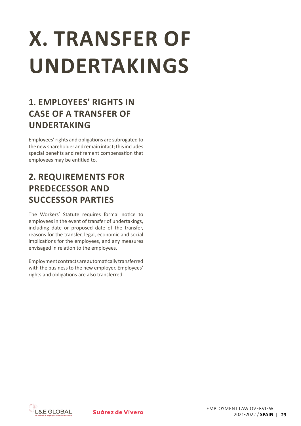# <span id="page-22-0"></span>**X. TRANSFER OF UNDERTAKINGS**

## **1. Employees' Rights in Case of a Transfer of Undertaking**

Employees'rights and obligations are subrogated to the new shareholder and remain intact: this includes special benefits and retirement compensation that employees may be entitled to.

## **2. Requirements for Predecessor and Successor Parties**

The Workers' Statute requires formal notice to employees in the event of transfer of undertakings, including date or proposed date of the transfer, reasons for the transfer, legal, economic and social implications for the employees, and any measures envisaged in relation to the employees.

Employmentcontractsareautomaticallytransferred with the business to the new employer. Employees' rights and obligations are also transferred.

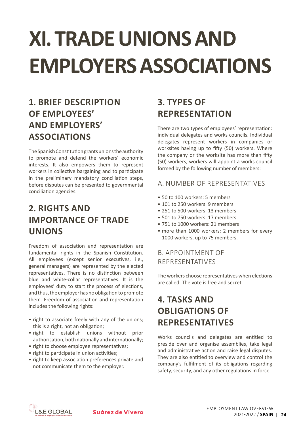# <span id="page-23-0"></span>**XI. TRADE UNIONS AND EMPLOYERSASSOCIATIONS**

## **1. Brief Description of Employees' and Employers' Associations**

The Spanish Constitution grants unions the authority to promote and defend the workers' economic interests. It also empowers them to represent workers in collective bargaining and to participate in the preliminary mandatory conciliation steps, before disputes can be presented to governmental conciliation agencies.

## **2. Rights and Importance of Trade Unions**

Freedom of association and representation are fundamental rights in the Spanish Constitution. All employees (except senior executives, i.e., general managers) are represented by the elected representatives. There is no distinction between blue and white-collar representatives. It is the employees' duty to start the process of elections, and thus, the employer has no obligation to promote them. Freedom of association and representation includes the following rights:

- right to associate freely with any of the unions; this is a right, not an obligation;
- • right to establish unions without prior authorisation, both nationally and internationally;
- right to choose employee representatives:
- right to participate in union activities;
- right to keep association preferences private and not communicate them to the employer.

## **3. Types of Representation**

There are two types of employees' representation: individual delegates and works councils. Individual delegates represent workers in companies or worksites having up to fifty (50) workers. Where the company or the worksite has more than fifty (50) workers, workers will appoint a works council formed by the following number of members:

#### a. Number of Representatives

- 50 to 100 workers: 5 members
- 101 to 250 workers: 9 members
- 251 to 500 workers: 13 members
- 501 to 750 workers: 17 members
- • 751 to 1000 workers: 21 members
- more than 1000 workers: 2 members for every 1000 workers, up to 75 members.

#### b. Appointment of Representatives

The workers choose representatives when elections are called. The vote is free and secret.

### **4. Tasks and Obligations of Representatives**

Works councils and delegates are entitled to preside over and organise assemblies, take legal and administrative action and raise legal disputes. They are also entitled to overview and control the company's fulfilment of its obligations regarding safety, security, and any other regulations in force.

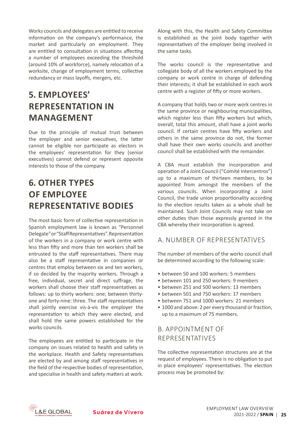Works councils and delegates are entitled to receive information on the company's performance, the market and particularly on employment. They are entitled to consultation in situations affecting a number of employees exceeding the threshold (around 10% of workforce), namely relocation of a worksite, change of employment terms, collective redundancy or mass layoffs, mergers, etc.

## **5. Employees' Representation in Management**

Due to the principle of mutual trust between the employer and senior executives, the latter cannot be eligible nor participate as electors in the employees' representation for they (senior executives) cannot defend or represent opposite interests to those of the company.

### **6. Other Types of Employee Representative Bodies**

The most basic form of collective representation in Spanish employment law is known as "Personnel Delegate"or"StaffRepresentatives".Representation of the workers in a company or work centre with less than fifty and more than ten workers shall be entrusted to the staff representatives. There may also be a staff representative in companies or centres that employ between six and ten workers, if so decided by the majority workers. Through a free, individual, secret and direct suffrage, the workers shall choose their staff representatives as follows: up to thirty workers: one; between thirtyone and forty-nine: three. The staff representatives shall jointly exercise vis-à-vis the employer the representation to which they were elected, and shall hold the same powers established for the works councils.

The employees are entitled to participate in the company on issues related to health and safety in the workplace. Health and Safety representatives are elected by and among staff representatives in the field of the respective bodies of representation, and specialise in health and safety matters at work. Along with this, the Health and Safety Committee is established as the joint body together with representatives of the employer being involved in the same tasks.

The works council is the representative and collegiate body of all the workers employed by the company or work centre in charge of defending their interests; it shall be established in each work centre with a register of fifty or more workers.

A company that holds two or more work centres in the same province or neighbouring municipalities, which register less than fifty workers but which, overall, total this amount, shall have a joint works council. If certain centres have fifty workers and others in the same province do not, the former shall have their own works councils and another council shall be established with the remainder.

A CBA must establish the incorporation and operation of a Joint Council ("Comité Intercentros") up to a maximum of thirteen members, to be appointed from amongst the members of the various councils. When incorporating a Joint Council, the trade union proportionality according to the election results taken as a whole shall be maintained. Such Joint Councils may not take on other duties than those expressly granted in the CBA whereby their incorporation is agreed.

#### a. Number of Representatives

The number of members of the works council shall be determined according to the following scale:

- between 50 and 100 workers: 5 members
- between 101 and 250 workers: 9 members
- hetween 251 and 500 workers: 13 members
- • between 501 and 750 workers: 17 members
- • between 751 and 1000 workers: 21 members
- 1000 and above: 2 per every thousand or fraction, up to a maximum of 75 members.

#### b. Appointment of Representatives

The collective representation structures are at the request of employees. There is no obligation to put in place employees' representatives. The election process may be promoted by:

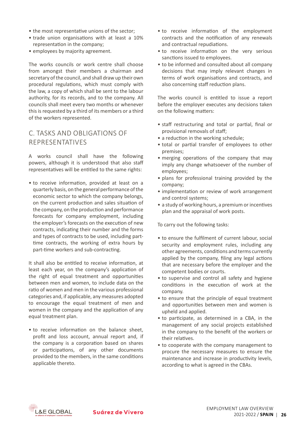- the most representative unions of the sector;
- trade union organisations with at least a 10% representation in the company;
- employees by majority agreement.

The works councils or work centre shall choose from amongst their members a chairman and secretary of the council, and shall draw up their own procedural regulations, which must comply with the law, a copy of which shall be sent to the labour authority, for its records, and to the company. All councils shall meet every two months or whenever this is requested by a third of its members or a third of the workers represented.

#### c. Tasks and Obligations of Representatives

A works council shall have the following powers, although it is understood that also staff representatives will be entitled to the same rights:

• to receive information, provided at least on a quarterly basis, on the general performance ofthe economic sector to which the company belongs, on the current production and sales situation of the company, on the production and performance forecasts for company employment, including the employer's forecasts on the execution of new contracts, indicating their number and the forms and types of contracts to be used, including parttime contracts, the working of extra hours by part-time workers and sub-contracting.

It shall also be entitled to receive information, at least each year, on the company's application of the right of equal treatment and opportunities between men and women, to include data on the ratio of women and men in the various professional categories and, if applicable, any measures adopted to encourage the equal treatment of men and women in the company and the application of any equal treatment plan.

• to receive information on the balance sheet, profit and loss account, annual report and, if the company is a corporation based on shares or participations, of any other documents provided to the members, in the same conditions applicable thereto.

- to receive information of the employment contracts and the notification of any renewals and contractual repudiations.
- to receive information on the very serious sanctions issued to employees.
- to be informed and consulted about all company decisions that may imply relevant changes in terms of work organisations and contracts, and also concerning staff reduction plans.

The works council is entitled to issue a report before the employer executes any decisions taken on the following matters:

- staff restructuring and total or partial, final or provisional removals of staff;
- a reduction in the working schedule;
- total or partial transfer of employees to other premises;
- merging operations of the company that may imply any change whatsoever of the number of employees;
- plans for professional training provided by the company;
- implementation or review of work arrangement and control systems;
- a study of working hours, a premium or incentives plan and the appraisal of work posts.

To carry out the following tasks:

- to ensure the fulfilment of current labour, social security and employment rules, including any other agreements, conditions and terms currently applied by the company, filing any legal actions that are necessary before the employer and the competent bodies or courts.
- to supervise and control all safety and hygiene conditions in the execution of work at the company.
- to ensure that the principle of equal treatment and opportunities between men and women is upheld and applied.
- to participate, as determined in a CBA, in the management of any social projects established in the company to the benefit of the workers or their relatives.
- to cooperate with the company management to procure the necessary measures to ensure the maintenance and increase in productivity levels, according to what is agreed in the CBAs.

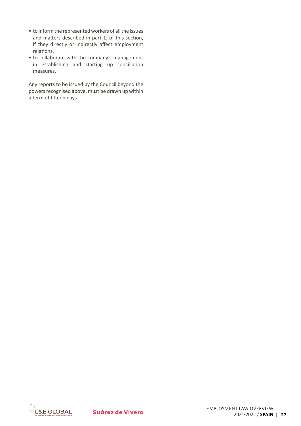- to inform the represented workers of all the issues and matters described in part 1. of this section, if they directly or indirectly affect employment relations.
- to collaborate with the company's management in establishing and starting up conciliation measures.

Any reports to be issued by the Council beyond the powers recognised above, must be drawn up within a term of fifteen days.

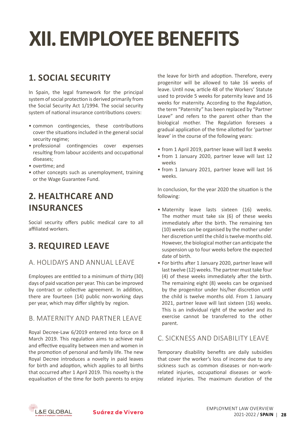## <span id="page-27-0"></span>**XII. EMPLOYEE BENEFITS**

## **1. Social Security**

In Spain, the legal framework for the principal system of social protection is derived primarily from the Social Security Act 1/1994. The social security system of national insurance contributions covers:

- common contingencies, these contributions cover the situations included in the general social security regime;
- • professional contingencies cover expenses resulting from labour accidents and occupational diseases;
- overtime: and
- other concepts such as unemployment, training or the Wage Guarantee Fund.

### **2. Healthcare and Insurances**

Social security offers public medical care to all affiliated workers.

### **3. Required Leave**

#### a. Holidays and Annual Leave

Employees are entitled to a minimum of thirty (30) days of paid vacation per year. This can be improved by contract or collective agreement. In addition, there are fourteen (14) public non-working days per year, which may differ slightly by region.

#### B. MATERNITY AND PARTNER LEAVE

Royal Decree-Law 6/2019 entered into force on 8 March 2019. This regulation aims to achieve real and effective equality between men and women in the promotion of personal and family life. The new Royal Decree introduces a novelty in paid leaves for birth and adoption, which applies to all births that occurred after 1 April 2019. This novelty is the equalisation of the time for both parents to enjoy the leave for birth and adoption. Therefore, every progenitor will be allowed to take 16 weeks of leave. Until now, article 48 of the Workers' Statute used to provide 5 weeks for paternity leave and 16 weeks for maternity. According to the Regulation, the term "Paternity" has been replaced by "Partner Leave" and refers to the parent other than the biological mother. The Regulation foresees a gradual application of the time allotted for 'partner leave' in the course of the following years:

- • from 1 April 2019, partner leave will last 8 weeks
- from 1 January 2020, partner leave will last 12 weeks
- from 1 January 2021, partner leave will last 16 weeks.

In conclusion, for the year 2020 the situation is the following:

- Maternity leave lasts sixteen (16) weeks. The mother must take six (6) of these weeks immediately after the birth. The remaining ten (10) weeks can be organised by the mother under her discretion until the child is twelve months old. However,the biological mother can anticipate the suspension up to four weeks before the expected date of birth.
- For births after 1 January 2020, partner leave will last twelve (12) weeks. The partner must take four (4) of these weeks immediately after the birth. The remaining eight (8) weeks can be organised by the progenitor under his/her discretion until the child is twelve months old. From 1 January 2021, partner leave will last sixteen (16) weeks. This is an individual right of the worker and its exercise cannot be transferred to the other parent.

#### c. Sickness and Disability Leave

Temporary disability benefits are daily subsidies that cover the worker's loss of income due to any sickness such as common diseases or non-workrelated injuries, occupational diseases or workrelated injuries. The maximum duration of the

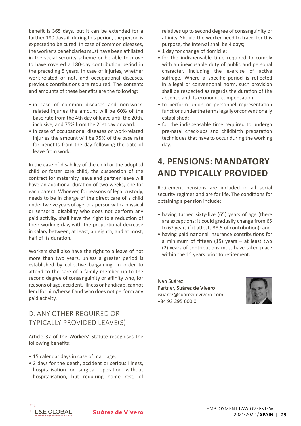benefit is 365 days, but it can be extended for a further 180 days if, during this period, the person is expected to be cured. In case of common diseases, the worker's beneficiaries must have been affiliated in the social security scheme or be able to prove to have covered a 180-day contribution period in the preceding 5 years. In case of injuries, whether work-related or not, and occupational diseases, previous contributions are required. The contents and amounts of these benefits are the following:

- in case of common diseases and non-workrelated injuries the amount will be 60% of the base rate from the 4th day of leave until the 20th, inclusive, and 75% from the 21st day onward.
- in case of occupational diseases or work-related injuries the amount will be 75% of the base rate for benefits from the day following the date of leave from work.

In the case of disability of the child or the adopted child or foster care child, the suspension of the contract for maternity leave and partner leave will have an additional duration of two weeks, one for each parent. Whoever, for reasons of legal custody, needs to be in charge of the direct care of a child undertwelveyearsofage,orapersonwithaphysical or sensorial disability who does not perform any paid activity, shall have the right to a reduction of their working day, with the proportional decrease in salary between, at least, an eighth, and at most, half of its duration.

Workers shall also have the right to a leave of not more than two years, unless a greater period is established by collective bargaining, in order to attend to the care of a family member up to the second degree of consanguinity or affinity who, for reasons of age, accident, illness or handicap, cannot fend for him/herself and who does not perform any paid activity.

#### d. Any Other Required or Typically Provided Leave(s)

Article 37 of the Workers' Statute recognises the following benefits:

- 15 calendar days in case of marriage;
- 2 days for the death, accident or serious illness, hospitalisation or surgical operation without hospitalisation, but requiring home rest, of

relatives up to second degree of consanguinity or affinity. Should the worker need to travel for this purpose, the interval shall be 4 days;

- 1 day for change of domicile:
- for the indispensable time required to comply with an inexcusable duty of public and personal character, including the exercise of active suffrage. Where a specific period is reflected in a legal or conventional norm, such provision shall be respected as regards the duration of the absence and its economic compensation;
- to perform union or personnel representation functionsunderthetermslegallyorconventionally established;
- for the indispensable time required to undergo pre-natal check-ups and childbirth preparation techniques that have to occur during the working day.

#### **4. Pensions: Mandatory and Typically Provided**

Retirement pensions are included in all social security regimes and are for life. The conditions for obtaining a pension include:

- having turned sixty-five (65) years of age (there are exceptions: it could gradually change from 65 to 67 years if it attests 38,5 of contribution); and
- having paid national insurance contributions for a minimum of fifteen (15) years – at least two (2) years of contributions must have taken place within the 15 years prior to retirement.

Iván Suárez Partner, **Suárez de Vivero** [isuarez@suarezdevivero.com](mailto:isuarez%40suarezdevivero.com?subject=) +34 93 295 600 0



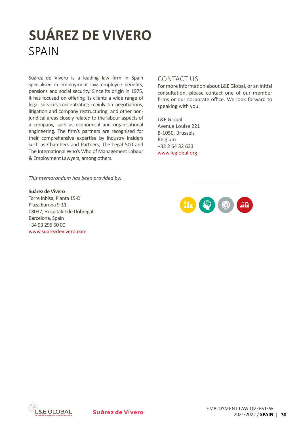## **SUÁREZ DE VIVERO SPAIN**

Suárez de Vivero is a leading law firm in Spain specialised in employment law, employee benefits, pensions and social security. Since its origin in 1975, it has focused on offering its clients a wide range of legal services concentrating mainly on negotiations, litigation and company restructuring, and other nonjuridical areas closely related to the labour aspects of a company, such as economical and organisational engineering. The firm's partners are recognised for their comprehensive expertise by industry insiders such as Chambers and Partners, The Legal 500 and The International Who's Who of Management Labour & Employment Lawyers, among others.

#### CONTACT US

For more information about L&E Global, or an initial consultation, please contact one of our member firms or our corporate office. We look forward to speaking with you.

L&E Global Avenue Louise 221 B-1050, Brussels Belgium +32 2 64 32 633 [www.leglobal.org](http://www.leglobal.org)

*This memorandum has been provided by:*

#### **Suárez de Vivero**

Torre Inbisa, Planta 15-D Plaza Europa 9-11 08037, Hospitalet de Llobregat Barcelona, Spain +34 93 295 60 00 [www.suarezdevivero.com](https://suarezdevivero.com/en/home/)